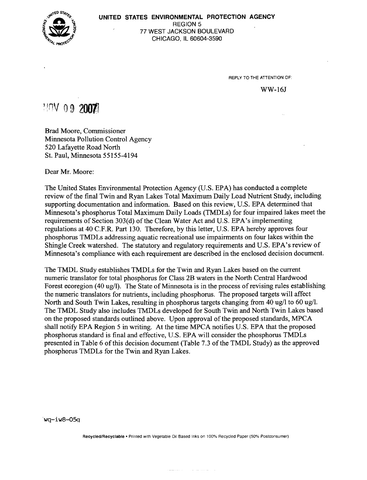

#### UNITED STATES ENVIRONMENTAL PROTECTION AGENCY REGION 5 77 WEST JACKSON BOULEVARD CHICAGO, IL 60604-3590

REPLY TO THE ATTENTION OF:

WW-16J

# **MOV 09 2007**

Brad Moore, Commissioner Minnesota Pollution Control Agency 520 Lafayette Road North St. Paul, Minnesota 55155-4194

Dear Mr. Moore:

The United States Environmental Protection Agency (U.S. EPA) has conducted a complete review of the final Twin and Ryan Lakes Total Maximum Daily Load Nutrient Study, including supporting documentation and information. Based on this review, U.S. EPA determined that Minnesota's phosphorus Total Maximum Daily Loads (TMDLs) for four impaired lakes meet the requirements of Section 303(d) of the Clean Water Act and U.S. EPA's implementing regulations at 40 C.F.R. Part 130. Therefore, by this letter, U.S. EPA hereby approves four phosphorus TMDLs addressing aquatic recreational use impairments on four lakes within the Shingle Creek watershed. The statutory and regulatory requirements and U.S. EPA's review of Minnesota's compliance with each requirement are described in the enclosed decision document.

The TMDL Study establishes TMDLs for the Twin and Ryan Lakes based on the current numeric translator for total phosphorus for Class 2B waters in the North Central Hardwood Forest ecoregion (40 ug/l). The State of Minnesota is in the process of revising rules establishing the numeric translators for nutrients, including phosphorus. The proposed targets will affect North and South Twin Lakes, resulting in phosphorus targets changing from 40 ug/l to 60 ug/l. The TMDL Study also includes TMDLs developed for South Twin and North Twin Lakes based on the proposed standards outlined above. Upon approval of the proposed standards, MPCA shall notify EPA Region 5 in writing. At the time MPCA notifies U.S. EPA that the proposed phosphorus standard is final and effective, u.s. EPA will consider the phosphorus TMDLs presented in Table 6 of this decision document (Table 7.3 of the TMDL Study) as the approved phosphorus TMDLs for the Twin and Ryan Lakes.

'wq-iw8-0Sq

Recycled/Recyclable • Printed with Vegetable Oil Based Inks on 100% Recycled Paper (50% Postconsumer)

and the company of

المتحصص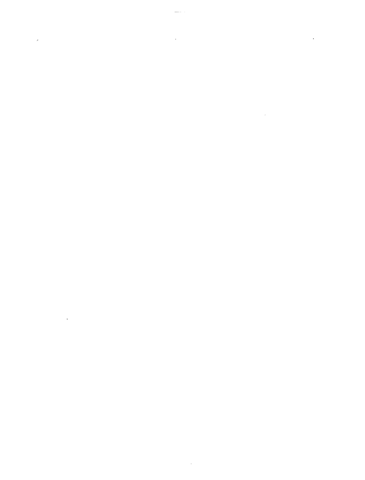$\frac{1}{2} \sum_{i=1}^n \frac{1}{2} \sum_{j=1}^n \frac{1}{2} \sum_{j=1}^n \frac{1}{2} \sum_{j=1}^n \frac{1}{2} \sum_{j=1}^n \frac{1}{2} \sum_{j=1}^n \frac{1}{2} \sum_{j=1}^n \frac{1}{2} \sum_{j=1}^n \frac{1}{2} \sum_{j=1}^n \frac{1}{2} \sum_{j=1}^n \frac{1}{2} \sum_{j=1}^n \frac{1}{2} \sum_{j=1}^n \frac{1}{2} \sum_{j=1}^n \frac{1}{2} \sum_{j=$ 

 $\mathcal{L}(\mathcal{L}(\mathcal{L}))$  and  $\mathcal{L}(\mathcal{L}(\mathcal{L}))$  . The contribution of  $\mathcal{L}(\mathcal{L}(\mathcal{L}))$  is a set of  $\mathcal{L}(\mathcal{L})$ 

 $\mathcal{L}^{\text{max}}_{\text{max}}$  , where  $\mathcal{L}^{\text{max}}_{\text{max}}$ 

 $\label{eq:2.1} \frac{1}{\|x\|^{2}}\leq \frac{1}{\|x\|^{2}}\leq \frac{1}{\|x\|^{2}}\leq \frac{1}{\|x\|^{2}}\leq \frac{1}{\|x\|^{2}}\leq \frac{1}{\|x\|^{2}}\leq \frac{1}{\|x\|^{2}}\leq \frac{1}{\|x\|^{2}}\leq \frac{1}{\|x\|^{2}}\leq \frac{1}{\|x\|^{2}}\leq \frac{1}{\|x\|^{2}}\leq \frac{1}{\|x\|^{2}}\leq \frac{1}{\|x\|^{2}}\leq \frac{$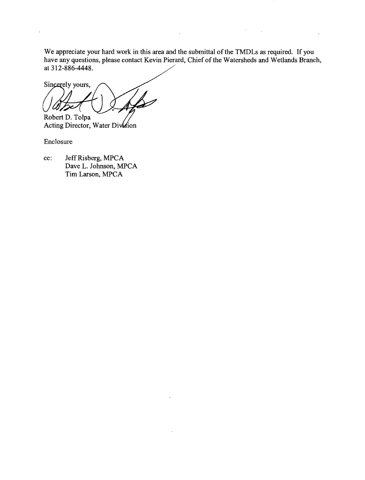We appreciate your hard work in this area and the submittal of the TMDLs as required. If you have any questions, please contact Kevin Pierard, Chief of the Watersheds and Wetlands Branch, at 312-886-4448.

 $\lambda$ 

 $\sim$ 

 $\lambda$ 

Sincerely yours, Robert D. Tolpa

Acting Director, Water Division

Enclosure

J.

cc: JeffRisberg, MPCA Dave L. Johnson, MPCA Tim Larson, MPCA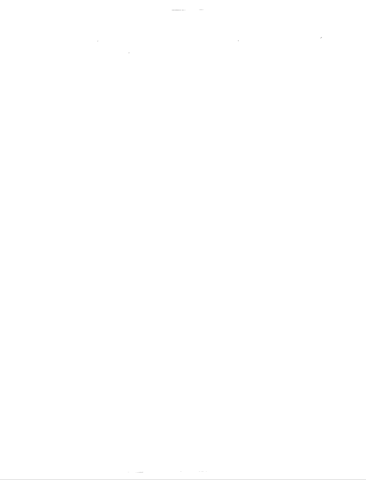$\label{eq:2.1} \mu_{\rm eff} = \frac{1}{2} \frac{1}{\sinh \theta} \left( \frac{1}{\sin \theta} \right) \left( \frac{1}{\sin \theta} \right) \left( \frac{1}{\sin \theta} \right) \left( \frac{1}{\sin \theta} \right) \left( \frac{1}{\sin \theta} \right) \left( \frac{1}{\sin \theta} \right) \left( \frac{1}{\sin \theta} \right) \left( \frac{1}{\sin \theta} \right) \left( \frac{1}{\sin \theta} \right) \left( \frac{1}{\sin \theta} \right) \left( \frac{1}{\sin \theta} \right) \left( \frac{1}{\$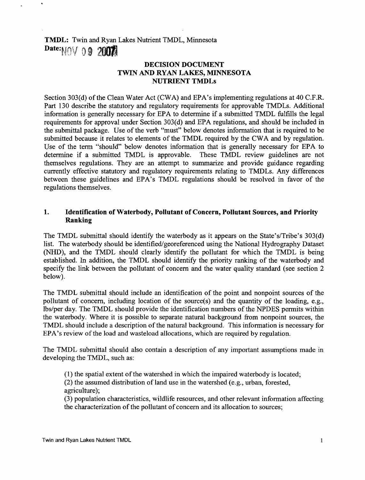# TMDL: Twin and Ryan Lakes Nutrient TMDL, Minnesota  $\text{Date:} \text{NOV} \text{O}9.2007$

# DECISION DOCUMENT TWIN AND RYAN LAKES, MINNESOTA NUTRIENT TMDLs

Section 303(d) of the Clean Water Act (CWA) and EPA's implementing regulations at 40 C.F.R. Part 130 describe the statutory and regulatory requirements for approvable TMDLs. Additional information is generally necessary for EPA to determine if a submitted TMDL fulfills the legal requirements for approval under Section 303(d) and EPA regulations, and should be included in the submittal package. Use of the verb "must" below denotes information that is required to be submitted because it relates to elements of the TMDL required by the CWA and by regulation. Use of the term "should" below denotes information that is generally necessary for EPA to determine if a submitted TMDL is approvable. These TMDL review guidelines are not determine if a submitted TMDL is approvable. themselves regulations. They are an attempt to summarize and provide guidance regarding currently effective statutory and regulatory requirements relating to TMDLs. Any differences between these guidelines and EPA's TMDL regulations should be resolved in favor of the regulations themselves.

# 1. Identification of Waterbody, Pollutant of Concern, Pollutant Sources, and Priority Ranking

The TMDL submittal should identify the waterbody as it appears on the State's/Tribe's 303(d) list. The waterbody should be identified/georeferenced using the National Hydrography Dataset (NHD), and the TMDL should clearly identify the pollutant for which the TMDL is being established. In addition, the TMDL should identify the priority ranking of the waterbody and specify the link between the pollutant of concern and the water quality standard (see section 2 below).

The TMDL submittal should include an identification of the point and nonpoint sources of the pollutant of concern, including location of the source(s) and the quantity of the loading, e.g., lbs/per day. The TMDL should provide the identification numbers of the NPDES permits within the waterbody. Where it is possible to separate natural background from nonpoint sources, the TMDL should include a description of the natural background. This information is necessary for EPA's review of the load and wasteload allocations, which are required by regulation.

The TMDL submittal should also contain a description of any important assumptions made in developing the TMDL, such as:

 $(1)$  the spatial extent of the watershed in which the impaired waterbody is located; (2) the assumed distribution of land use in the watershed (e.g., urban, forested, agriculture);

(3) population characteristics, wildlife resources, and other relevant information affecting the characterization of the pollutant of concern and its allocation to sources;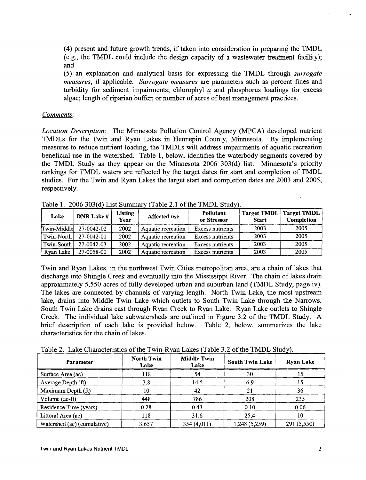(4) present and future growth trends, if taken into consideration in preparing the TMDL (e.g., the TMDL could include the design capacity of a wastewater treatment facility); and

(5) an explanation and analytical basis for expressing the TMDL through *surrogate measures,* if applicable. *Surrogate measures* are parameters such as percent fines and turbidity for sediment impairments; chlorophyl  $\alpha$  and phosphorus loadings for excess algae; length of riparian buffer; or number of acres of best management practices.

#### *Comments:*

*Location Description:* The Minnesota Pollution Control Agency (MPCA) developed nutrient TMDLs for the Twin and Ryan Lakes in Hennepin County, Minnesota. By implementing measures to reduce nutrient loading, the TMDLs will address impairments of aquatic recreation beneficial use in the watershed. Table 1, below, identifies the waterbody segments covered by the TMDL Study as they appear on the Minnesota 2006 303(d) list. Minnesota's priority rankings for TMDL waters are reflected by the target dates for start and completion of TMDL studies. For the Twin and Ryan Lakes the target start and completion dates are 2003 and 2005, respectively.

| Lake         | <b>DNR Lake #</b> | Listing<br>Year | <b>Affected use</b> | Pollutant<br>or Stressor | <b>Start</b> | Target TMDL Target TMDL<br>Completion |
|--------------|-------------------|-----------------|---------------------|--------------------------|--------------|---------------------------------------|
| Twin-Middlel | 27-0042-02        | 2002            | Aquatic recreation  | Excess nutrients         | 2003         | 2005                                  |
| Twin-North   | 27-0042-01        | 2002            | Aquatic recreation  | Excess nutrients         | 2003         | 2005                                  |
| Twin-South   | 27-0042-03        | 2002            | Aquatic recreation  | Excess nutrients         | 2003         | 2005                                  |
| Ryan Lake    | 27-0058-00        | 2002            | Aquatic recreation  | Excess nutrients         | 2003         | 2005                                  |

Table 1. 2006 303(d) List Summary (Table 2.1 of the TMDL Study).

Twin and Ryan Lakes, in the northwest Twin Cities metropolitan area, are a chain of lakes that discharge into Shingle Creek and eventually into the Mississippi River. The chain of lakes drain approximately 5,550 acres of fully developed urban and suburban land (TMDL Study, page iv). The lakes are connected by channels of varying length. North Twin Lake, the most upstream lake, drains into Middle Twin Lake which outlets to South Twin Lake through the Narrows. South Twin Lake drains east through Ryan Creek to Ryan Lake. Ryan Lake outlets to Shingle Creek. The individual lake subwatersheds are outlined in Figure 3.2 of the TMDL Study. A brief description of each lake is provided below. characteristics for the chain of lakes.

Table 2. Lake Characteristics of the Twin-Ryan Lakes (Table 3.2 of the TMDL Study).

| Parameter                   | <b>North Twin</b><br>Lake | <b>Middle Twin</b><br>Lake | <b>South Twin Lake</b> | <b>Ryan Lake</b> |
|-----------------------------|---------------------------|----------------------------|------------------------|------------------|
| Surface Area (ac)           | 118                       | 54                         | 30                     |                  |
| Average Depth (ft)          | 3.8                       | 14.5                       | 6.9                    |                  |
| Maximum Depth (ft)          | 10                        | 42                         |                        | 36               |
| Volume (ac-ft)              | 448                       | 786                        | 208                    | 235              |
| Residence Time (years)      | 0.28                      | 0.43                       | 0.10                   | 0.06             |
| Littoral Area (ac)          | 118                       | 31.6                       | 25.4                   | 10               |
| Watershed (ac) (cumulative) | 3,657                     | 354 (4,011)                | 1,248 (5,259)          | 291 (5,550)      |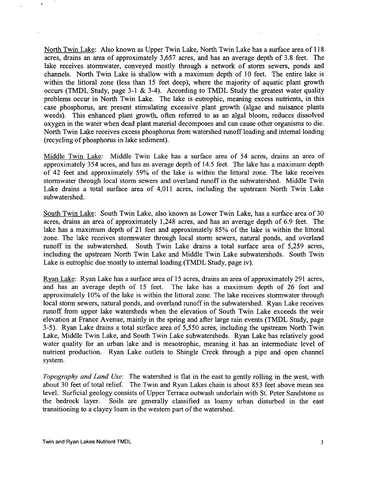North Twin Lake: Also known as Upper Twin Lake, North Twin Lake has a surface area of 118 acres, drains an area of approximately 3,657 acres, and has an average depth of 3.8 feet. The lake receives stormwater, conveyed mostly through a network of storm sewers, ponds and channels. North Twin Lake is shallow with a maximum depth of 10 feet. The entire lake is within the littoral zone (less than 15 feet deep), where the majority of aquatic plant growth occurs (TMDL Study, page 3-1  $\&$  3-4). According to TMDL Study the greatest water quality problems occur in North Twin Lake. The lake is eutrophic, meaning excess nutrients, in this case phosphorus, are present stimulating excessive plant growth (algae and nuisance plants weeds). This enhanced plant growth, often referred to as an algal bloom, reduces dissolved oxygen in the water when dead plant material decomposes and can cause other organisms to die. North Twin Lake receives excess phosphorus from watershed runoff loading and internal loading (recycling of phosphorus in lake sediment).

Middle Twin Lake: Middle Twin Lake has a surface area of 54 acres, drains an area of approximately 354 acres, and has an average depth of 14.5 feet. The lake has a maximum depth of 42 feet and approximately 59% of the lake is within the littoral zone. The lake receives stormwater through local storm sewers and overland runoff in the subwatershed. Middle Twin Lake drains a total surface area of 4,011 acres, including the upstream North Twin Lake subwatershed.

South Twin Lake: South Twin Lake, also known as Lower Twin Lake, has a surface area of 30 acres, drains an area of approximately 1,248 acres, and has an average depth of 6.9 feet. The lake has a maximum depth of 21 feet and approximately 85% of the lake is within the littoral zone. The lake receives stormwater through local storm sewers, natural ponds, and overland runoff in the subwatershed. South Twin Lake drains a total surface area of 5,259 acres, including the upstream North Twin Lake and Middle Twin Lake subwatersheds. South Twin Lake is eutrophic due mostly to internal loading (TMDL Study, page iv).

Ryan Lake: Ryan Lake has a surface area of 15 acres, drains an area of approximately 291 acres, and has an average depth of 15 feet. The lake has a maximum depth of 26 feet and approximately 10% of the lake is within the littoral zone. The lake receives stormwater through local storm sewers, natural ponds, and overland runoff in the subwatershed. Ryan Lake receives runoff from upper lake watersheds when the elevation of South Twin Lake exceeds the weir elevation at France Avenue, mainly in the spring and after large rain events (TMDL Study, page 3-5). Ryan Lake drains a total surface area of 5,550 acres, including the upstream North Twin Lake, Middle Twin Lake, and South Twin Lake subwatersheds. Ryan Lake has relatively good water quality for an urban lake and is mesotrophic, meaning it has an intermediate level of nutrient production. Ryan Lake outlets to Shingle Creek through a pipe and open channel system.

*Topography and Land Use:* The watershed is flat in the east to gently rolling in the west, with about 30 feet of total relief. The Twin and Ryan Lakes chain is about 853 feet above mean sea level. Surficial geology consists of Upper Terrace outwash underlain with St. Peter Sandstone as the bedrock layer. Soils are generally classified as loamy urban disturbed in the east transitioning to a clayey loam in the western part of the watershed.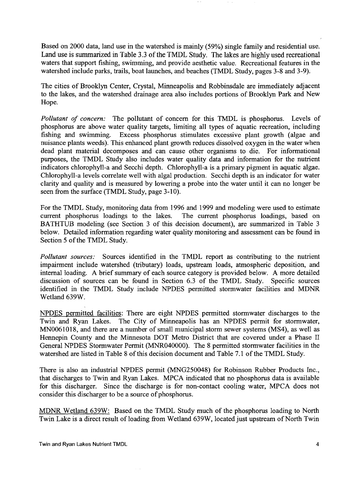Based on 2000 data, land use in the watershed is mainly (59%) single family and residential use. Land use is summarized in Table 3.3 of the TMDL Study. The lakes are highly used recreational waters that support fishing, swimming, and provide aesthetic value. Recreational features in the watershed include parks, trails, boat launches, and beaches (TMDL Study, pages 3-8 and 3-9).

The cities of Brooklyn Center, Crystal, Minneapolis and Robbinsdale are immediately adjacent to the lakes, 'and the watershed drainage area also includes portions of Brooklyn Park and New Hope.

*Pollutant of concern:* The pollutant of concern for this TMDL is phosphorus. Levels of phosphorus are above water quality targets, limiting all types of aquatic recreation, including fishing and swimming. Excess phosphorus stimulates excessive plant growth (algae and nuisance plants weeds). This enhanced plant growth reduces dissolved oxygen in the water when dead plant material decomposes and can cause other organisms to die. For informational purposes, the TMDL Study also includes water quality data and information for the nutrient indicators chlorophyll-a and Secchi depth. Chlorophyll-a is a primary pigment in aquatic algae. Chlorophyll-a levels correlate well with algal production. Secchi depth is an indicator for water clarity and quality and is measured by lowering a probe into the water until it can no longer be seen from the surface (TMDL Study, page 3-10).

For the TMDL Study, monitoring data from 1996 and 1999 and modeling were used to estimate current phosphorus loadings to the lakes. The current phosphorus loadings, based on BATHTUB modeling (see Section 3 of this decision document), are summarized in Table 3 below. Detailed information regarding water quality monitoring and assessment can be found in Section 5 of the TMDL Study.

*Pollutant sources:* 'Sources identified in the TMDL report as contributing to the nutrient impairment include watershed (tributary) loads, upstream loads, atmospheric deposition, and internal loading. A brief summary of each source category is provided below. A more detailed discussion of sources can be found in Section 6.3 of the TMDL Study. Specific sources identified in the TMDL Study include NPDES permitted stormwater facilities and MDNR Wetland 639W.

NPDES permitted facilities: There are eight NPDES permitted stormwater discharges to the Twin and Ryan Lakes. The City of Minneapolis has an NPDES permit for stormwater, MN0061018, and there are a number of small municipal storm sewer systems (MS4), as well as Hennepin County and the Minnesota DOT Metro District that are covered under a Phase II General NPDES Stormwater Permit (MNR040000). The 8 permitted stormwater facilities in the watershed are listed in Table 8 of this decision document and Table 7.1 of the TMDL Study.

There is also an industrial NPDES permit (MNG250048) for Robinson Rubber Products Inc., that discharges to Twin and Ryan Lakes. MPCA indicated that no phosphorus data is available for this discharger. Since the discharge is for non-contact cooling water, MPCA does not consider this discharger to be a source of phosphorus.

MDNR Wetland 639W: Based on the TMDL Study much of the phosphorus loading to North Twin Lake is a direct result of loading from Wetland 639W, located just upstream of North Twin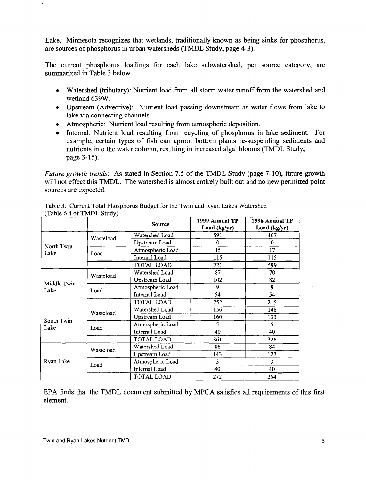Lake. Minnesota recognizes that wetlands, traditionally known as being sinks for phosphorus, are sources of phosphorus in urban watersheds (TMDL Study, page 4-3).

The current phosphorus loadings for each lake subwatershed, per source category, are summarized in Table 3 below.

- Watershed (tributary): Nutrient load from all storm water runoff from the watershed and wetland 639W.
- Upstream (Advective): Nutrient load passing downstream as water flows from lake to lake via connecting channels.
- Atmospheric: Nutrient load resulting from atmospheric deposition.
- Internal: Nutrient load resulting from recycling of phosphorus in lake sediment. For example, certain types of fish can uproot bottom plants re-suspending sediments and nutrients into the water column, resulting in increased algal blooms (TMDL Study, page 3-15).

*Future growth trends:* As stated in Section 7.5 of the TMDL Study (page 7-10), future growth will not effect this TMDL. The watershed is almost entirely built out and no new permitted point sources are expected.

|                    |           | <b>Source</b>     | 1999 Annual TP | 1996 Annual TP |
|--------------------|-----------|-------------------|----------------|----------------|
|                    |           |                   | Load (kg/yr)   | Load (kg/yr)   |
|                    | Wasteload | Watershed Load    | 591            | 467            |
| North Twin<br>Lake |           | Upstream Load     | $\theta$       | 0              |
|                    | Load      | Atmospheric Load  | 15             | 17             |
|                    |           | Internal Load     | 115            | 115            |
|                    |           | TOTAL LOAD        | 721            | 599            |
|                    | Wasteload | Watershed Load    | 87             | 70             |
| Middle Twin        |           | Upstream Load     | 102            | 82             |
| Lake               | Load      | Atmospheric Load  | 9              | 9              |
|                    |           | Internal Load     | 54             | 54             |
|                    |           | TOTAL LOAD        | 252            | 215            |
|                    | Wasteload | Watershed Load    | 156            | 148            |
| South Twin         |           | Upstream Load     | 160            | 133            |
| Lake               | Load      | Atmospheric Load  | 5              | 5              |
|                    |           | Internal Load     | 40             | 40             |
|                    |           | <b>TOTAL LOAD</b> | 361            | 326            |
|                    | Wasteload | Watershed Load    | 86             | 84             |
|                    |           | Upstream Load     | 143            | 127            |
| Ryan Lake          | Load      | Atmospheric Load  | 3              | 3              |
|                    |           | Internal Load     | 40             | 40             |
|                    |           | <b>TOTAL LOAD</b> | 272            | 254            |

Table 3. Current Total Phosphorus Budget for the Twin and Ryan Lakes Watershed (Table 6.4 of TMDL Study)

EPA finds that the TMDL document submitted by MPCA satisfies all requirements of this first element.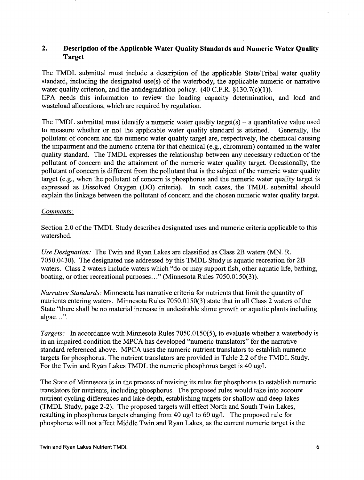# 2. Description of the Applicable Water Quality Standards and Numeric Water Quality **Target**

The TMDL submittal must include a description of the applicable State/Tribal water quality standard, including the designated use(s) of the waterbody, the applicable numeric or narrative water quality criterion, and the antidegradation policy.  $(40 \text{ C.F.R. } §130.7(c)(1))$ .

EPA needs this information to review the loading capacity determination, and load and wasteload allocations, which are required by regulation.

The TMDL submittal must identify a numeric water quality target(s) – a quantitative value used to measure whether or not the applicable water quality standard is attained. Generally, the pollutant of concern and the numeric water quality target are, respectively, the chemical causing the impairment and the numeric criteria for that chemical (e.g., chromium) contained in the water quality standard. The TMDL expresses the relationship between any necessary reduction of the pollutant of concern and the attainment of the numeric water quality target. Occasionally, the pollutant of concern is different from the pollutant that is the subject of the numeric water quality target (e.g., when the pollutant of concern is phosphorus and the numeric water quality target is expressed as Dissolved Oxygen (DO) criteria). In such cases, the TMDL submittal should explain the linkage between the pollutant of concern and the chosen numeric water quality target.

#### *Comments:*

Section 2.0 of the TMDL Study describes designated uses and numeric criteria applicable to this watershed.

*Use Designation:* The Twin and Ryan Lakes are classified as Class 2B waters (MN. R. 7050.0430). The designated use addressed by this TMDL Study is aquatic recreation for 2B waters. Class 2 waters include waters which "do or may support fish, other aquatic life, bathing, boating, or other recreational purposes..." (Minnesota Rules 7050.0150(3».

*Narrative Standards:* Minnesota has narrative criteria for nutrients that limit the quantity of nutrients entering waters. Minnesota Rules 7050.0150(3) state that in all Class 2 waters of the State "there shall be no material increase in undesirable slime growth or aquatic plants including algae...".

*Targets:* In accordance with Minnesota Rules 7050.0150(5), to evaluate whether a waterbody is in an impaired condition the MPCA has developed "numeric translators" for the narrative standard referenced above. MPCA uses the numeric nutrient translators to establish numeric targets for phosphorus. The nutrient translators are provided in Table 2.2 of the TMDL Study. For the Twin and Ryan Lakes TMDL the numeric phosphorus target is 40 ug/l.

The State of Minnesota is in the process of revising its rules for phosphorus to establish numeric translators for nutrients, including phosphorus. The proposed rules would take into account nutrient cycling differences and lake depth, establishing targets for shallow and deep lakes (TMDL Study, page 2-2). The proposed targets will effect North and South Twin Lakes, resulting in phosphorus targets changing from 40 ug/l to 60 ug/l. The proposed rule for phosphorus will not affect Middle Twin and Ryan Lakes, as the current numeric target is the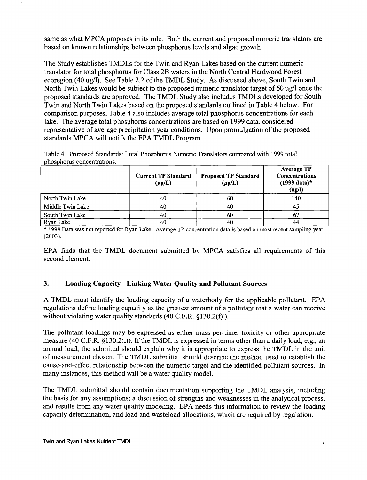same as what MPCA proposes in its rule. Both the current and proposed numeric translators are based on known relationships between phosphorus levels and algae growth.

The Study establishes TMDLs for the Twin and Ryan Lakes based on the current numeric translator for total phosphorus for Class 2B waters in the North Central Hardwood Forest ecoregion (40 ug/l). See Table 2.2 of the TMDL Study. As discussed above, South Twin and North Twin Lakes would be subject to the proposed numeric translator target of 60 ug/l once the proposed standards are approved. The TMDL Study also includes TMDLs developed for South Twin and North Twin Lakes based on the proposed standards outlined in Table 4 below. For comparison purposes, Table 4 also includes average total phosphorus concentrations for each lake. The average total phosphorus concentrations are based on 1999 data, considered representative of average precipitation year conditions. Upon promulgation of the proposed standards MPCA will notify the EPA TMDL Program.

Table 4. Proposed Standards: Total Phosphorus Numeric Translators compared with 1999 total phosphorus concentrations.

|                  | <b>Current TP Standard</b><br>$(\mu g/L)$ | <b>Proposed TP Standard</b><br>$(\mu g/L)$ | <b>Average TP</b><br><b>Concentrations</b><br>$(1999 \text{ data})*$<br>(ug/l) |
|------------------|-------------------------------------------|--------------------------------------------|--------------------------------------------------------------------------------|
| North Twin Lake  | 40                                        | 60                                         | 140                                                                            |
| Middle Twin Lake | 40                                        | 40                                         | 45                                                                             |
| South Twin Lake  | 40                                        | 60                                         |                                                                                |
| Ryan Lake        | 40                                        | 40                                         | 44                                                                             |

\* 1999 Data was not reported for Ryan Lake. Average TP concentration data is based on most recent sampling year (2003).

EPA finds that the TMDL document submitted by MPCA satisfies all requirements of this second element.

# 3. Loading Capacity - Linking Water Quality and Pollutant Sources

A TMDL must identify the loading capacity of a waterbody for the applicable polllltant. EPA regulations define loading capacity as the greatest amount of a pollutant that a water can receive without violating water quality standards (40 C.F.R. §130.2(f)).

The pollutant loadings may be expressed as either mass-per-time, toxicity or other appropriate measure (40 C.F.R.  $\S$ 130.2(i)). If the TMDL is expressed in terms other than a daily load, e.g., an annual load, the submittal should explain why it is appropriate to express the TMDL in the unit of measurement chosen. The TMDL submittal should describe the method used to establish the cause-and-effect relationship between the numeric target and the identified pollutant sources. In many instances, this method will be a water quality model.

The TMDL submittal should contain documentation supporting the TMDL analysis, including the basis for any assumptions; a discussion of strengths and weaknesses in the analytical process; and results from any water quality modeling. EPA needs this information to review the loading capacity detennination, and load and wasteload allocations, which are required by regulation.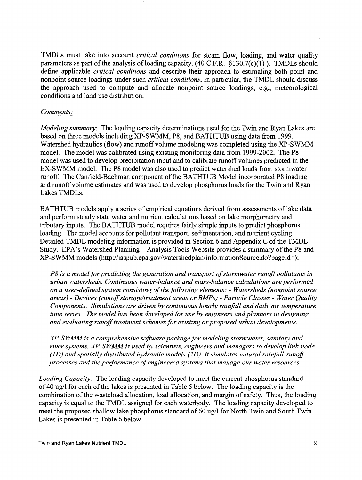TMDLs must take into account *crittcal conditions* for steam flow, loading, and water quality parameters as part of the analysis of loading capacity.  $(40 \text{ C.F.R. } §130.7(c)(1))$ . TMDLs should define applicable *critical conditions* and describe their approach to estimating both point and nonpoint source loadings under such *critical conditions.* In particular, the TMDL should discuss the approach used to compute and allocate nonpoint source loadings, e.g., meteorological conditions and land use distribution.

#### *Comments:*

*Modeling summary:* The loading capacity determinations used for the Twin and Ryan Lakes are based on three models including XP-SWMM, P8, and BATHTUB using data from 1999. Watershed hydraulics (flow) and runoff volume modeling was completed using the XP-SWMM model. The model was calibrated using existing monitoring data from 1999-2002. The P8 model was used to develop precipitation input and to calibrate runoff volumes predicted in the EX-SWMM model. The P8 model was also used to predict watershed loads from stormwater runoff. The Canfield-Bachman component of the BATHTUB Model incorporated P8 loading and runoff volume estimates and was used to develop phosphorus loads for the Twin and Ryan Lakes TMDLs.

BATHTUB models apply a series of empirical equations derived from assessments of lake data and perform steady state water and nutrient calculations based on lake morphometry and tributary inputs. The BATHTUB model requires fairly simple inputs to predict phosphorus loading. The model accounts for pollutant transport, sedimentation, and nutrient cycling. Detailed TMDL modeling information is provided in Section 6 and Appendix C of the TMDL Study. EPA's Watershed Planning – Analysis Tools Website provides a summary of the P8 and XP-SWMM models (http://iaspub.epa.gov/watershedplan/informationSource.do?pageld=):

*P8 is a model for predicting the generation and transport of stormwater runoff pollutants in urban watersheds. Continuous water-balance and mass-balance calculations are performed on a user-defined system consisting ofthe following elements:* - *Watersheds (nonpoint source areas)* - *Devices (runoffstorage/treatment areas or BMPs)* - *Particle Classes* - *Water Quality Components. Simulations are driven by continuous hourly rainfall and daily air temperature time series. The model has been developedfor use by engineers and planners in designing and evaluating runofftreatment schemes for existing or proposed urban developments.* 

*XP-SWMM is a comprehensive software package for modeling stormwater, sanitary and river systems. XP-SWMM is used by scientists, engineers and managers to develop link-node (iD) and spatially distributed hydraulic models (2D). It simulates natural rainfall-runoff processes and the performance ofengineered systems that manage our water resources.* 

*Loading Capacity:* The loading capacity developed to meet the current phosphorus standard of 40 ug/l for each of the lakes is presented in Table 5 below. The loading capacity is the combination of the wasteload allocation, load allocation, and margin of safety. Thus, the loading capacity is equal to the TMDL assigned for each waterbody. The loading capacity developed to meet the proposed shallow lake phosphorus standard of 60 ug/l for North Twin and South Twin Lakes is presented in Table 6 below.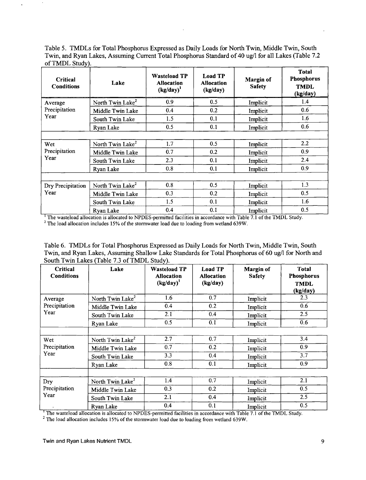Table 5. TMDLs for Total Phosphorus Expressed as Daily Loads for North Twin, Middle Twin, South Twin, and Ryan Lakes, Assuming Current Total Phosphorus Standard of40 ug/l for all Lakes (Table 7.2 ofTMDL Study).

| <b>Critical</b><br><b>Conditions</b> | Lake                                                                                                                | <b>Wasteload TP</b><br><b>Allocation</b><br>$(kg/day)^1$ | <b>Load TP</b><br><b>Allocation</b><br>(kg/day) | Margin of<br><b>Safety</b> | <b>Total</b><br>Phosphorus<br><b>TMDL</b><br>(kg/day) |
|--------------------------------------|---------------------------------------------------------------------------------------------------------------------|----------------------------------------------------------|-------------------------------------------------|----------------------------|-------------------------------------------------------|
| Average                              | North Twin Lake <sup>2</sup>                                                                                        | 0.9                                                      | 0.5                                             | Implicit                   | 1.4                                                   |
| Precipitation                        | Middle Twin Lake                                                                                                    | 0.4                                                      | 0.2                                             | Implicit                   | 0.6                                                   |
| Year                                 | South Twin Lake                                                                                                     | 1.5                                                      | 0.1                                             | Implicit                   | 1.6                                                   |
|                                      | Ryan Lake                                                                                                           | 0.5                                                      | 0.1                                             | Implicit                   | 0.6                                                   |
|                                      |                                                                                                                     |                                                          |                                                 |                            |                                                       |
| Wet                                  | North Twin Lake <sup>2</sup>                                                                                        | 1.7                                                      | 0.5                                             | Implicit                   | 2.2                                                   |
| Precipitation                        | Middle Twin Lake                                                                                                    | 0.7                                                      | 0.2                                             | Implicit                   | 0.9                                                   |
| Year                                 | South Twin Lake                                                                                                     | 2.3                                                      | 0.1                                             | Implicit                   | 2.4                                                   |
|                                      | Ryan Lake                                                                                                           | 0.8                                                      | 0.1                                             | Implicit                   | 0.9                                                   |
|                                      |                                                                                                                     |                                                          |                                                 |                            |                                                       |
| Dry Precipitation<br>Year            | North Twin Lake <sup>2</sup>                                                                                        | 0.8                                                      | 0.5                                             | Implicit                   | 1.3                                                   |
|                                      | Middle Twin Lake                                                                                                    | 0.3                                                      | 0.2                                             | Implicit                   | 0.5                                                   |
|                                      | South Twin Lake                                                                                                     | 1.5                                                      | 0.1                                             | Implicit                   | 1.6                                                   |
|                                      | Ryan Lake                                                                                                           | 0.4                                                      | 0.1                                             | Implicit                   | 0.5                                                   |
|                                      | The wasteload allocation is allocated to NPDES-permitted facilities in accordance with Table 7.1 of the TMDL Study. |                                                          |                                                 |                            |                                                       |

<sup>2</sup> The load allocation includes 15% of the stormwater load due to loading from wetland 639W.

Table 6. TMDLs for Total Phosphorus Expressed as Daily Loads for North Twin, Middle Twin, South Twin, and Ryan Lakes, Assuming Shallow Lake Standards for Total Phosphorus of 60 ug/l for North and South Twin Lakes (Table 7.3 of TMDL Study).

| Critical<br><b>Conditions</b> | Lake                                                                                                                | <b>Wasteload TP</b><br><b>Allocation</b><br>$(kg/day)^1$ | <b>Load TP</b><br><b>Allocation</b><br>(kg/day) | Margin of<br><b>Safety</b> | <b>Total</b><br><b>Phosphorus</b><br><b>TMDL</b><br>(kg/day) |
|-------------------------------|---------------------------------------------------------------------------------------------------------------------|----------------------------------------------------------|-------------------------------------------------|----------------------------|--------------------------------------------------------------|
| Average                       | North Twin Lake <sup>2</sup>                                                                                        | 1.6                                                      | 0.7                                             | Implicit                   | 2.3                                                          |
| Precipitation                 | Middle Twin Lake                                                                                                    | 0.4                                                      | 0.2                                             | Implicit                   | 0.6                                                          |
| Year                          | South Twin Lake                                                                                                     | 2.1                                                      | 0.4                                             | Implicit                   | 2.5                                                          |
|                               | Ryan Lake                                                                                                           | 0.5                                                      | 0.1                                             | Implicit                   | 0.6                                                          |
|                               |                                                                                                                     |                                                          |                                                 |                            |                                                              |
| Wet                           | North Twin Lake <sup>2</sup>                                                                                        | 2.7                                                      | 0.7                                             | Implicit                   | 3.4                                                          |
| Precipitation                 | Middle Twin Lake                                                                                                    | 0.7                                                      | 0.2                                             | Implicit                   | 0.9                                                          |
| Year                          | South Twin Lake                                                                                                     | 3.3                                                      | 0.4                                             | Implicit                   | 3.7                                                          |
|                               | Ryan Lake                                                                                                           | 0.8                                                      | 0.1                                             | Implicit                   | 0.9                                                          |
|                               |                                                                                                                     |                                                          |                                                 |                            |                                                              |
| Dry<br>Precipitation<br>Year  | North Twin Lake <sup>2</sup>                                                                                        | 1.4                                                      | 0.7                                             | Implicit                   | 2.1                                                          |
|                               | Middle Twin Lake                                                                                                    | 0.3                                                      | 0.2                                             | Implicit                   | 0.5                                                          |
|                               | South Twin Lake                                                                                                     | 2.1                                                      | 0.4                                             | Implicit                   | 2.5                                                          |
|                               | Ryan Lake                                                                                                           | 0.4                                                      | 0.1                                             | Implicit                   | 0.5                                                          |
|                               | The wasteload allocation is allocated to NPDES-permitted facilities in accordance with Table 7.1 of the TMDL Study. |                                                          |                                                 |                            |                                                              |

<sup>2</sup> The load allocation includes 15% of the stormwater load due to loading from wetland 639W.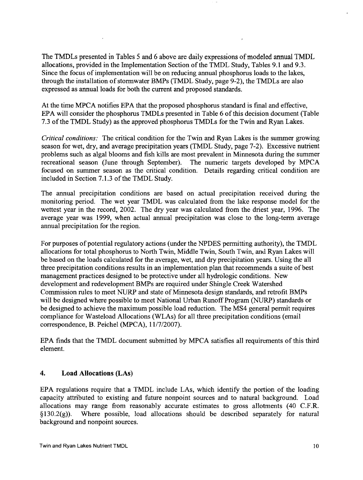The TMDLs presented in Tables 5 and 6 above are daily expressions of modeled annual TMDL allocations, provided in the Implementation Section of the TMDL Study, Tables 9.1 and 9.3. Since the focus of implementation will be on reducing annual phosphorus loads to the lakes, through the installation of stormwater BMPs (TMDL Study, page 9-2), the TMDLs are also expressed as annual loads for both the current and proposed standards.

At the time MPCA notifies EPA that the proposed phosphorus standard is final and effective, EPA will consider the phosphorus TMDLs presented in Table 6 of this decision document (Table 7.3 of the TMDL Study) as the approved phosphorus TMDLs for the Twin and Ryan Lakes.

*Critical conditions:* The critical condition for the Twin and Ryan Lakes is the summer growing season for wet, dry, and average precipitation years (TMDL Study, page 7-2). Excessive nutrient problems such as algal blooms and fish kills are most prevalent in Minnesota during the summer recreational season (June through September). The numeric targets developed by MPCA focused on summer season as the critical condition. Details regarding critical condition are included in Section 7.1.3 of the TMDL Study.

The annual precipitation conditions are based on actual precipitation received during the monitoring period. The wet year TMDL was calculated from the lake response model for the wettest year in the record, 2002. The dry year was calculated from the driest year, 1996. The average year was 1999, when actual annual precipitation was close to the long-term average annual precipitation for the region.

For purposes of potential regulatory actions (under the NPDES permitting authority), the TMDL allocations for total phosphorus to North Twin, Middle Twin, South Twin, and Ryan Lakes will be based on the loads calculated for the average, wet, and dry precipitation years. Using the all three precipitation conditions results in an implementation plan that recommends a suite of best management practices designed to be protective under all hydrologic conditions. New development and redevelopment BMPs are required under Shingle Creek Watershed Commission rules to meet NURP and state of Minnesota design standards, and retrofit BMPs will be designed where possible to meet National Urban Runoff Program (NURP) standards or be designed to achieve the maximum possible load reduction. The MS4 general permit requires compliance for Wasteload Allocations (WLAs) for all three precipitation conditions (email correspondence, B. Peichel (MPCA), 11/7/2007).

EPA finds that the TMDL document submitted by MPCA satisfies all requirements of this third element.

# 4. Load Allocations (LAs)

EPA regulations require that a TMDL include LAs, which identify the portion of the loading capacity attributed to existing and future nonpoint sources and to natural background. Load allocations may range from reasonably accurate estimates to gross allotments (40 C.F.R.  $\S130.2(g)$ . Where possible, load allocations should be described separately for natural background and nonpoint sources.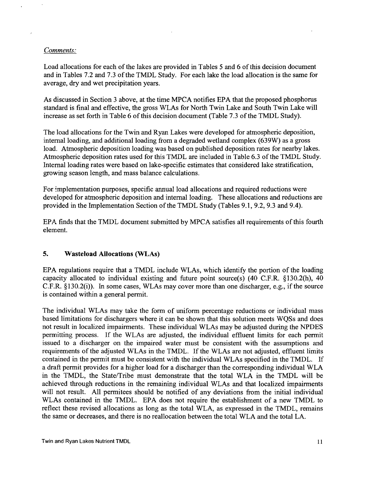#### *Comments:*

Load allocations for each of the lakes are provided in Tables 5 and 6 of this decision document and in Tables 7.2 and 7.3 of the TMDL Study. For each lake the load allocation is the same for average, dry and wet precipitation years.

As discussed in Section 3 above, at the time MPCA notifies EPA that the proposed phosphorus standard is final and effective, the gross WLAs for North Twin Lake and South Twin Lake will increase as set forth in Table 6 of this decision document (Table 7.3 of the TMDL Study).

The load allocations for the Twin and Ryan Lakes were developed for atmospheric deposition, internal loading, and additional loading from a degraded wetland complex (639W) as a gross load. Atmospheric deposition loading was based on published deposition rates for nearby lakes. Atmospheric deposition rates used for this TMDL are included in Table 6.3 of the TMDL Study. Internal loading rates were based on lake-specific estimates that considered lake stratification, growing season length, and mass balance calculations.

For implementation purposes, specific annual load allocations and required reductions were developed for atmospheric deposition and internal loading. These allocations and reductions are provided in the Implementation Section of the TMDL Study (Tables 9.1, 9.2, 9.3 and 9.4).

EPA, finds that the TMDL document submitted by MPCA satisfies all requirements of this fourth element.

# 5. Wasteload Allocations (WLAs)

EPA regulations require that a TMDL include WLAs, which identify the portion of the loading capacity allocated to individual existing and future point source(s) (40 C.F.R. §130.2(h), 40  $C.F.R. §130.2(i)$ . In some cases, WLAs may cover more than one discharger, e.g., if the source is contained within a general permit.

The individual WLAs may take the form of uniform percentage reductions or individual mass based limitations for dischargers where it can be shown that this solution meets WQSs and does not result in localized impairments. These individual WLAs may be adjusted during the NPDES permitting process. If the WLAs are adjusted, the individual effluent limits for each permit issued to a discharger on the impaired water must be consistent with the assumptions and requirements of the adjusted WLAs in the TMDL. If the WLAs are not adjusted, effluent limits contained in the permit must be consistent with the individual WLAs specified in the TMDL. If a draft permit provides for a higher load for a discharger than the corresponding individual WLA in the TMDL, the State/Tribe must demonstrate that the total WLA in the TMDL will be achieved through reductions in the remaining individual WLAs and that localized impairments will not result. All permitees should be notified of any deviations from the initial individual WLAs contained in the TMDL. EPA does not require the establishment of a new TMDL to reflect these revised allocations as long as the total WLA, as expressed in the TMDL, remains the same or decreases, and there is no reallocation between the total WLA and the total LA.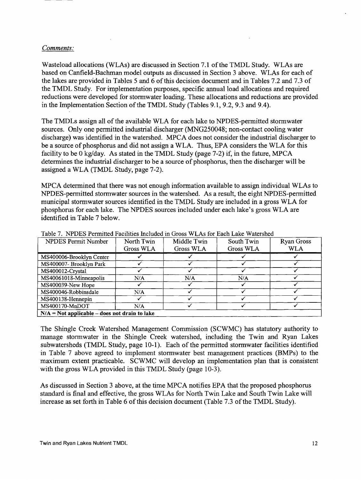#### *Comments:*

Wasteload allocations (WLAs) are discussed in Section 7.1 of the TMDL Study. WLAs are based on Canfield-Bachman model outputs as discussed in Section 3 above. WLAs for each of the lakes are provided in Tables 5 and 6 of this decision document and in Tables 7.2 and 7.3 of the TMDL Study. For implementation purposes, specific annual load allocations and required reductions were developed for stormwater loading. These allocations and reductions are provided in the Implementation Section of the TMDL Study (Tables 9.1, 9.2, 9.3 and 9.4).

The TMDLs assign all of the available WLA for each lake to NPDES-permitted stormwater sources. Only one permitted industrial discharger (MNG250048; non-contact cooling water discharge) was identified in the watershed. MPCA does not consider the industrial discharger to be a source of phosphorus and did not assign a WLA. Thus, EPA considers the WLA for this facility to be 0 kg/day. As stated in the TMDL Study (page 7-2) if, in the future, MPCA determines the industrial discharger to be a source of phosphorus, then the discharger will be assigned a WLA (TMDL Study, page 7-2).

MPCA determined that there was not enough information available to assign individual WLAs to NPDES-pennitted stormwater sources in the watershed. As a result, the eight NPDES-permitted municipal stormwater sources identified in the TMDL Study are included in a gross WLA for phosphorus for each lake. The NPDES sources included under each lake's gross WLA are identified in Table 7 below.

| NPDES Permit Number                             | North Twin<br>Gross WLA | Middle Twin<br>Gross WLA | South Twin<br>Gross WLA | <b>Ryan Gross</b><br>WLA |  |  |
|-------------------------------------------------|-------------------------|--------------------------|-------------------------|--------------------------|--|--|
| MS400006-Brooklyn Center                        |                         |                          |                         |                          |  |  |
| MS400007- Brooklyn Park                         |                         |                          |                         |                          |  |  |
| MS400012-Crystal                                |                         |                          |                         |                          |  |  |
| MS40061018-Minneapolis                          | N/A                     | N/A                      | N/A                     |                          |  |  |
| MS400039-New Hope                               |                         |                          |                         |                          |  |  |
| MS400046-Robbinsdale                            | N/A                     |                          |                         |                          |  |  |
| MS400138-Hennepin                               |                         |                          |                         |                          |  |  |
| MS400170-MnDOT                                  | N/A                     |                          |                         |                          |  |  |
| $N/A$ = Not applicable – does not drain to lake |                         |                          |                         |                          |  |  |

Table 7. NPDES Permitted Facilities Included in Gross WLAs for Each Lake Watershed

The Shingle Creek Watershed Management Commission (SCWMC) has statutory authority to manage stormwater in the Shingle Creek watershed, including the Twin and Ryan Lakes subwatersheds (TMDL Study, page 10-1). Each of the pennitted stormwater facilities identified in Table 7 above agreed to implement stormwater best management practices (BMPs) to the maximum extent practicable. SCWMC will develop an implementation plan that is consistent with the gross WLA provided in this TMDL Study (page 10-3).

As discussed in Section 3 above, at the time MPCA notifies EPA that the proposed phosphorus standard is final and effective, the gross WLAs for North Twin Lake and South Twin Lake will increase as set forth in Table 6 of this decision document (Table 7.3 of the TMDL Study).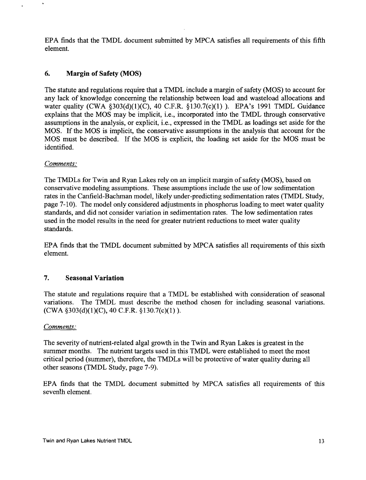EPA finds that the TMDL document submitted by MPCA satisfies all requirements of this fifth element.

# 6. Margin of Safety (MOS)

The statute and regulations require that a TMDL include a margin of safety (MOS) to account for any lack of knowledge concerning the relationship between load and wasteload allocations and water quality (CWA §303(d)(1)(C), 40 C.F.R. §130.7(c)(1)). EPA's 1991 TMDL Guidance explains that the MOS may be implicit, i.e., incorporated into the TMDL through conservative assumptions in the analysis, or explicit, i.e., expressed in the TMDL as loadings set aside for the MOS. If the MOS is implicit, the conservative assumptions in the analysis that account for the MOS must be described. If the MOS is explicit, the loading set aside for the MOS must be identified.

# *Comments:*

The TMDLs for Twin and Ryan Lakes rely on an implicit margin of safety (MOS), based on conservative modeling assumptions. These assumptions include the use of low sedimentation rates in the Canfield-Bachman model, likely under-predicting sedimentation rates (TMDL Study, page 7-10). The model only considered adjustments in phosphorus loading to meet water quality standards, and did not consider variation in sedimentation rates. The low sedimentation rates used in the model results in the need for greater nutrient reductions to meet water quality standards.

EPA finds that the TMDL document submitted by MPCA satisfies all requirements of this sixth element.

# 7. Seasonal Variation

The statute and regulations require that a TMDL be established with consideration of seasonal variations. The TMDL must describe the method chosen for including seasonal variations.  $(CWA §303(d)(1)(C), 40 C.F.R. §130.7(c)(1)).$ 

#### *Comments:*

The severity of nutrient-related algal growth in the Twin and Ryan Lakes is greatest in the summer months. The nutrient targets used in this TMDL were established to meet the most critical period (summer), therefore, the TMDLs will be protective ofwater quality during all other seasons (TMDL Study, page 7-9).

EPA finds that the TMDL document submitted by MPCA satisfies all requirements of this seventh element.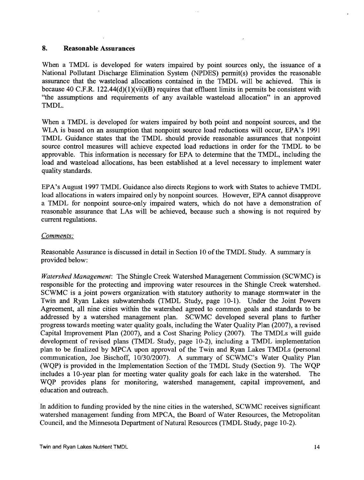#### 8. Reasonable Assurances

When a TMDL is developed for waters impaired by point sources only, the issuance of a National Pollutant Discharge Elimination System (NPDES) permit(s) provides the reasonable assurance that the wasteload allocations contained in the TMDL will be achieved. This is because 40 C.F.R. 122.44(d)(1)(vii)(B) requires that effluent limits in permits be consistent with "the assumptions and requirements of any available wasteload allocation" in an approved TMDL.

When a TMDL is developed for waters impaired by both point and nonpoint sources, and the WLA is based on an assumption that nonpoint source load reductions will occur, EPA's 1991 TMDL Guidance states that the TMDL should provide reasonable assurances that nonpoint source control measures will achieve expected load reductions in order for the TMDL to be approvable. This information is necessary for EPA to detennine that the TMDL, including the load and wasteload allocations, has been established at a level necessary to implement water quality standards.

EPA's August 1997 TMDL Guidance also directs Regions to work with States to achieve TMDL load allocations in waters impaired only by nonpoint sources. However, EPA cannot disapprove a TMDL for nonpoint source-only impaired waters, which do not have a demonstration of reasonable assurance that LAs will be achieved, because such a showing is not required by current regulations.

#### *Comments:*

Reasonable Assurance is discussed in detail in Section 10 of the TMDL Study. A summary is provided below:

*Watershed Management:* The Shingle Creek Watershed Management Commission (SCWMC) is responsible for the protecting and improving water resources in the Shingle Creek watershed. SCWMC is a joint powers organization with statutory authority to manage stormwater in the Twin and Ryan Lakes subwatersheds (TMDL Study, page 10-1). Under the Joint Powers Agreement, all nine cities within the watershed agreed to common goals and standards to be addressed by a watershed management plan. SCWMC developed several plans to further progress towards meeting water quality goals, including the Water Quality Plan (2007), a revised Capital Improvement Plan (2007), and a Cost Sharing Policy (2007). The TMDLs will guide development of revised plans (TMDL Study, page 10-2), including a TMDL implementation plan to be finalized by MPCA upon approval of the Twin and Ryan Lakes TMDLs (personal communication, Joe Bischoff, 10/30/2007). A summary of SCWMC's Water Quality Plan (WQP) is provided in the Implementation Section of the TMDL Study (Section 9). The WQP includes a IO-year plan for meeting water quality goals for each lake in the watershed. The WQP provides plans for monitoring, watershed management, capital improvement, and education and outreach.

In addition to funding provided by the nine cities in the watershed, SCWMC receives significant watershed management funding from MPCA, the Board of Water Resources, the Metropolitan Council, and the Minnesota Department of Natural Resources (TMDL Study, page 10-2).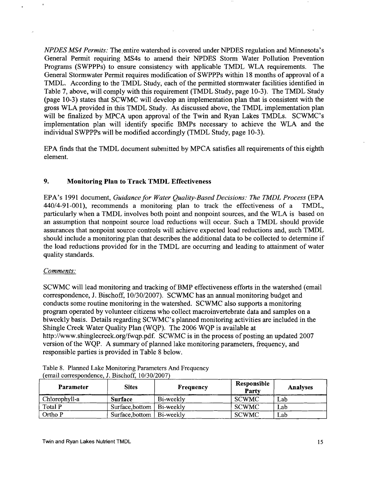*NPDES MS4 Permits:* The entire watershed is covered under NPDES regulation and Minnesota's General Pennit requiring MS4s to amend their NPDES Storm Water Pollution Prevention Programs (SWPPPs) to ensure consistency with applicable TMDL WLA requirements. The General Stormwater Permit requires modification of SWPPPs within 18 months of approval of a TMDL. According to the TMDL Study, each of the permitted stormwater facilities identified in Table 7, above, will comply with this requirement (TMDL Study, page 10-3). The TMDL Study (page 10-3) states that SCWMC will develop an implementation plan that is consistent with the gross WLA provided in this TMDL Study. As discussed above, the TMDL implementation plan will be finalized by MPCA upon approval of the Twin and Ryan Lakes TMDLs. SCWMC's implementation plan will identify specific BMPs necessary to achieve the WLA and the individual SWPPPs will be modified accordingly (TMDL Study, page 10-3).

EPA finds that the TMDL document submitted by MPCA satisfies all requirements ofthis eighth element.

# 9. Monitoring Plan to Track TMDL Effectiveness

EPA's 1991 document, *Guidance for Water Quality-Based Decisions: The TMDL Process* (EPA 440/4-91-001), recommends a monitoring plan to track the effectiveness of a TMDL, particularly when a TMDL involves both point and nonpoint sources, and the WLA is based on an assumption that nonpoint source load reductions will occur. Such a TMDL should provide assurances that nonpoint source controls will achieve expected load reductions and, such TMDL should include a monitoring plan that describes the additional data to be collected to determine if the load reductions provided for in the TMDL are occurring and leading to attainment of water quality standards.

# *Comments:*

SCWMC will lead monitoring and tracking of BMP effectiveness efforts in the watershed (email correspondence, J. Bischoff, 10/30/2007). SCWMC has an annual monitoring budget and conducts some routine monitoring in the watershed. SCWMC also supports a monitoring program operated by volunteer citizens who collect macroinvertebrate data and samples on a biweekly basis. Details regarding SCWMC's planned monitoring activities are included in the Shingle Creek Water Quality Plan (WQP). The 2006 WQP is available at http://www.shinglecreek.org/fwqp.pdf. SCWMC is in the process of posting an updated 2007 version of the WQP. A summary of planned lake monitoring parameters, frequency, and responsible parties is provided in Table 8 below.

| <b>Parameter</b> | <b>Sites</b>                | <b>Frequency</b> | Responsible<br>Party | <b>Analyses</b> |
|------------------|-----------------------------|------------------|----------------------|-----------------|
| Chlorophyll-a    | <b>Surface</b>              | Bi-weekly        | <b>SCWMC</b>         | Lab             |
| Total P          | Surface, bottom   Bi-weekly |                  | <b>SCWMC</b>         | Lab             |
| Ortho P          | Surface, bottom   Bi-weekly |                  | <b>SCWMC</b>         | Lab             |

Table 8. Planned Lake Monitoring Parameters And Frequency (email correspondence, J. Bischoff, 10/30/2007)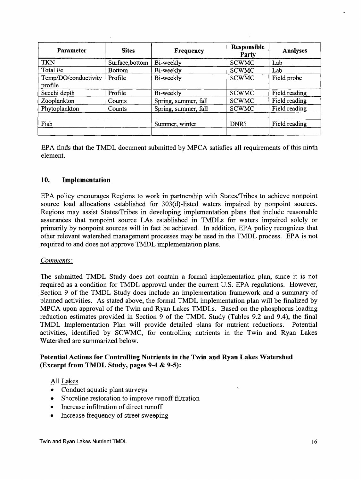| <b>Parameter</b>                | <b>Sites</b>    | Frequency            | Responsible<br>Party | <b>Analyses</b> |
|---------------------------------|-----------------|----------------------|----------------------|-----------------|
| <b>TKN</b>                      | Surface, bottom | Bi-weekly            | <b>SCWMC</b>         | Lab             |
| Total Fe                        | <b>Bottom</b>   | Bi-weekly            | <b>SCWMC</b>         | Lab             |
| Temp/DO/conductivity<br>profile | Profile         | Bi-weekly            | <b>SCWMC</b>         | Field probe     |
| Secchi depth                    | Profile         | Bi-weekly            | <b>SCWMC</b>         | Field reading   |
| Zooplankton                     | Counts          | Spring, summer, fall | <b>SCWMC</b>         | Field reading   |
| Phytoplankton                   | Counts          | Spring, summer, fall | <b>SCWMC</b>         | Field reading   |
| Fish                            |                 | Summer, winter       | DNR?                 | Field reading   |

EPA finds that the TMDL document submitted by MPCA satisfies all requirements of this ninth element.

# 10. Implementation

EPA policy encourages Regions to work in partnership with States/Tribes to achieve nonpoint source load allocations established for 303(d)-listed waters impaired by nonpoint sources. Regions may assist States/Tribes in developing implementation plans that include reasonable assurances that nonpoint source LAs established in TMDLs for waters impaired solely or primarily by nonpoint sources will in fact be achieved. In addition, EPA policy recognizes that other relevant watershed management processes may be used in the TMDL process. EPA is not required to and does not approve TMDL implementation plans.

#### *Comments:*

The submitted TMDL Study does not contain a formal implementation plan, since it is not required as a condition for TMDL approval under the current U.S. EPA regulations. However, Section 9 of the TMDL Study does include an implementation framework and a summary of planned activities. As stated above, the formal TMDL implementation plan will be finalized by MPCA upon approval of the Twin and Ryan Lakes TMDLs. Based on the phosphorus loading reduction estimates provided in Section 9 of the TMDL Study (Tables 9.2 and 9.4), the final TMDL Implementation Plan will provide detailed plans for nutrient reductions. Potential activities, identified by SCWMC, for controlling nutrients in the Twin and Ryan Lakes Watershed are summarized below.

#### Potential Actions for Controlling Nutrients in the Twin and Ryan Lakes Watershed (Excerpt from TMDL Study, pages 9-4 & 9-5):

#### All Lakes

- Conduct aquatic plant surveys
- Shoreline restoration to improve runoff filtration
- Increase infiltration of direct runoff
- Increase frequency of street sweeping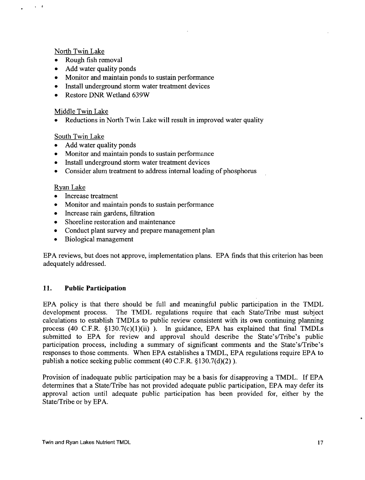# North Twin Lake

 $\sqrt{1}$ 

- Rough fish removal
- Add water quality ponds
- Monitor and maintain ponds to sustain performance
- Install underground storm water treatment devices
- Restore DNR Wetland 639W

# Middle Twin Lake

• Reductions in North Twin Lake will result in improved water quality

# South Twin Lake

- Add water quality ponds
- Monitor and maintain ponds to sustain performance
- Install underground storm water treatment devices
- Consider alum treatment to address internal loading of phosphorus

# Ryan Lake

- Increase treatment
- Monitor and maintain ponds to sustain performance
- Increase rain gardens, filtration
- Shoreline restoration and maintenance
- Conduct plant survey and prepare management plan
- Biological management

EPA reviews, but does not approve, implementation plans. EPA finds that this criterion has been adequately addressed.

# **11. Public Participation**

EPA policy is that there should be full and meaningful public participation in the TMDL development process. The TMDL regulations require that each State/Tribe must subject calculations to establish TMDLs to public review consistent with its own continuing planning process (40 C.F.R. §130.7(c)(1)(ii)). In guidance, EPA has explained that final TMDLs submitted to EPA for review and approval should describe the State's/Tribe's public participation process, including a summary of significant comments and the State's/Tribe's responses to those comments. When EPA establishes a TMDL, EPA regulations require EPA to publish a notice seeking public comment (40 C.F.R. §130.7(d)(2)).

Provision of inadequate public participation may be a basis for disapproving a TMDL. If EPA determines that a State/Tribe has not provided adequate public participation, EPA may defer its approval action until adequate public participation has been provided for, either by the State/Tribe or by EPA.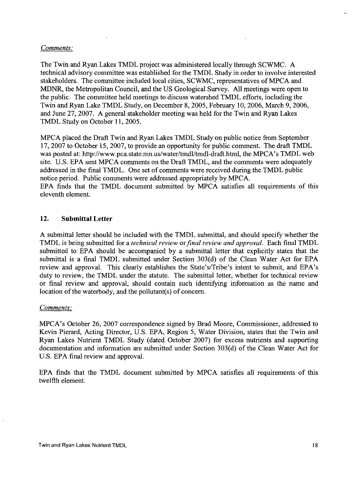#### *Comments:*

The Twin and Ryan Lakes TMDL project was administered locally through SCWMC. A technical advisory committee was established for the TMDL Study in order to involve interested stakeholders. The committee included local cities, SCWMC, representatives of MPCA and MDNR, the Metropolitan Council, and the US Geological Survey. All meetings were open to the public. The committee held meetings to discuss watershed TMDL efforts, including the Twin and Ryan Lake TMDL Study, on December 8, 2005, February 10, 2006, March 9, 2006, and June 27, 2007. A general stakeholder meeting was held for the Twin and Ryan Lakes TMDL Study on October 11, 2005.

MPCA placed the Draft Twin and Ryan Lakes TMDL Study on public notice from September 17, 2007 to October 15, 2007, to provide an opportunity for public comment. The draft TMDL was posted at: http://www.pca.state.mn.us/water/tmdl/tmdl-draft.html, the MPCA's TMDL web site. U.S. EPA sent MPCA comments on the Draft TMDL, and the comments were adequately addressed in the final TMDL. One set of comments were received during the TMDL public notice period. Public comments were addressed appropriately by MPCA. EPA finds that the TMDL document submitted by MPCA satisfies all requirements of this eleventh element.

# 12. Submittal Letter

A submittal letter should be included with the TMDL submittal, and should specify whether the TMDL is being submitted for a *technical review orfinal review and approval.* Each final TMDL submitted to EPA should be accompanied by a submittal letter that explicitly states that the submittal is a final TMDL submitted under Section 303(d) of the Clean Water Act for EPA review and approval. This clearly establishes the State's/Tribe's intent to submit, and EPA's duty to review, the TMDL under the statute. The submittal letter, whether for technical review or final review and approval, should contain such identifying infonnation as the name and location of the waterbody, and the pollutant(s) of concern.

#### *Comments:*

MPCA's October 26, 2007 correspondence signed by Brad Moore, Commissioner, addressed to Kevin Pierard, Acting Director, U.S. EPA, Region 5, Water Division, states that the Twin and Ryan Lakes Nutrient TMDL Study (dated October 2007) for excess nutrients and supporting documentation and information are submitted under Section 303(d) of the Clean Water Act for U.S. EPA final review and approval.

EPA finds that the TMDL document submitted by MPCA satisfies all requirements of this twelfth element.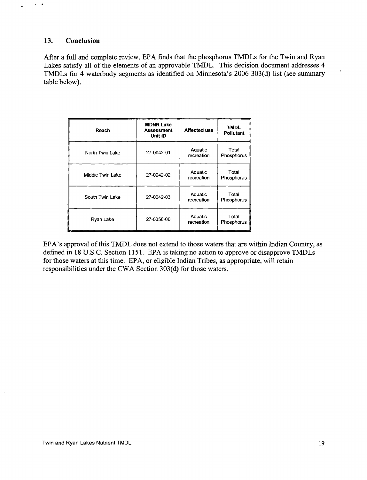# 13. Conclusion

After a full and complete review, EPA finds that the phosphorus TMDLs for the Twin and Ryan Lakes satisfy all of the elements of an approvable TMDL. This decision document addresses 4 TMDLs for 4 waterbody segments as identified on Minnesota's 2006 303(d) list (see summary table below).

| Reach            | <b>MDNR Lake</b><br><b>Assessment</b><br>Unit ID | <b>Affected use</b>   | <b>TMDL</b><br><b>Pollutant</b> |
|------------------|--------------------------------------------------|-----------------------|---------------------------------|
| North Twin Lake  | 27-0042-01                                       | Aquatic<br>recreation | Total<br>Phosphorus             |
| Middle Twin Lake | 27-0042-02                                       | Aquatic<br>recreation | Total<br>Phosphorus             |
| South Twin Lake  | 27-0042-03                                       | Aquatic<br>recreation | Total<br>Phosphorus             |
| Ryan Lake        | 27-0058-00                                       | Aquatic<br>recreation | Total<br>Phosphorus             |

EPA's approval of this TMDL does not extend to those waters that are within Indian Country, as defined in 18 U.S.C. Section 1151. EPA is taking no action to approve or disapprove TMDLs for those waters at this time. EPA, or eligible Indian Tribes, as appropriate, will retain responsibilities under the CWA Section 303(d) for those waters.